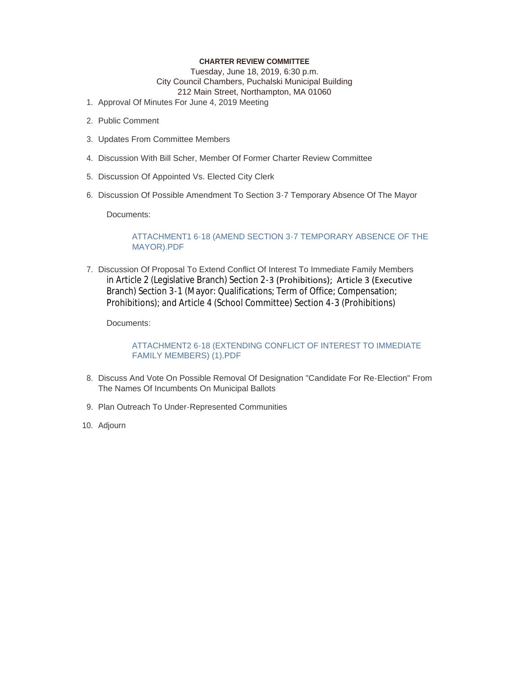#### **CHARTER REVIEW COMMITTEE**

Tuesday, June 18, 2019, 6:30 p.m. City Council Chambers, Puchalski Municipal Building 212 Main Street, Northampton, MA 01060

- 1. Approval Of Minutes For June 4, 2019 Meeting
- 2. Public Comment
- 3. Updates From Committee Members
- 4. Discussion With Bill Scher, Member Of Former Charter Review Committee
- 5. Discussion Of Appointed Vs. Elected City Clerk
- 6. Discussion Of Possible Amendment To Section 3-7 Temporary Absence Of The Mayor

Documents:

#### ATTACHMENT1 6-18 (AMEND SECTION 3-7 TEMPORARY ABSENCE OF THE MAYOR).PDF

7. Discussion Of Proposal To Extend Conflict Of Interest To Immediate Family Members in Article 2 (Legislative Branch) Section 2-3 (Prohibitions); Article 3 (Executive Branch) Section 3-1 (Mayor: Qualifications; Term of Office; Compensation; Prohibitions); and Article 4 (School Committee) Section 4-3 (Prohibitions)

Documents:

ATTACHMENT2 6-18 (EXTENDING CONFLICT OF INTEREST TO IMMEDIATE FAMILY MEMBERS) (1).PDF

- 8. Discuss And Vote On Possible Removal Of Designation "Candidate For Re-Election" From The Names Of Incumbents On Municipal Ballots
- 9. Plan Outreach To Under-Represented Communities
- 10. Adjourn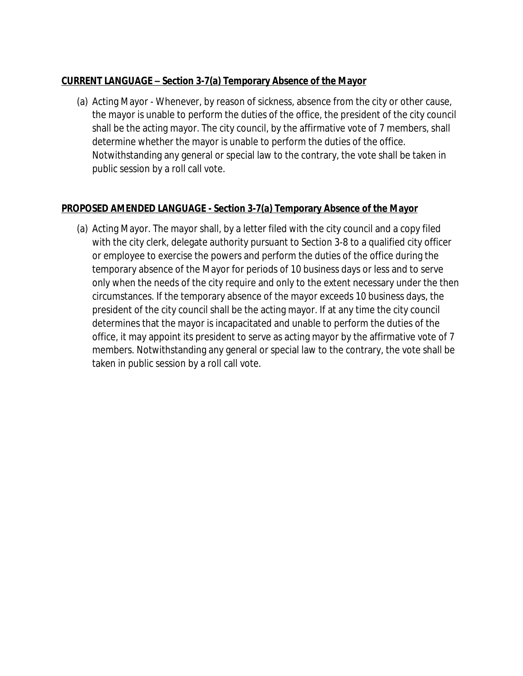### **[CURRENT LANGUAGE](https://ecode360.com/26839061#"26839061") – Section 3-7(a) [Temporary Absence of the Mayor](https://ecode360.com/26839061#"26839061")**

(a) Acting Mayor - Whenever, by reason of sickness, absence from the city or other cause, the mayor is unable to perform the duties of the office, the president of the city council shall be the acting mayor. The city council, by the affirmative vote of 7 members, shall determine whether the mayor is unable to perform the duties of the office. Notwithstanding any general or special law to the contrary, the vote shall be taken in public session by a roll call vote.

## **PROPOSED AMENDED LANGUAGE - Section 3-7(a) Temporary Absence of the Mayor**

(a) Acting Mayor. The mayor shall, by a letter filed with the city council and a copy filed with the city clerk, delegate authority pursuant to Section 3-8 to a qualified city officer or employee to exercise the powers and perform the duties of the office during the temporary absence of the Mayor for periods of 10 business days or less and to serve only when the needs of the city require and only to the extent necessary under the then circumstances. If the temporary absence of the mayor exceeds 10 business days, the president of the city council shall be the acting mayor. If at any time the city council determines that the mayor is incapacitated and unable to perform the duties of the office, it may appoint its president to serve as acting mayor by the affirmative vote of 7 members. Notwithstanding any general or special law to the contrary, the vote shall be taken in public session by a roll call vote.